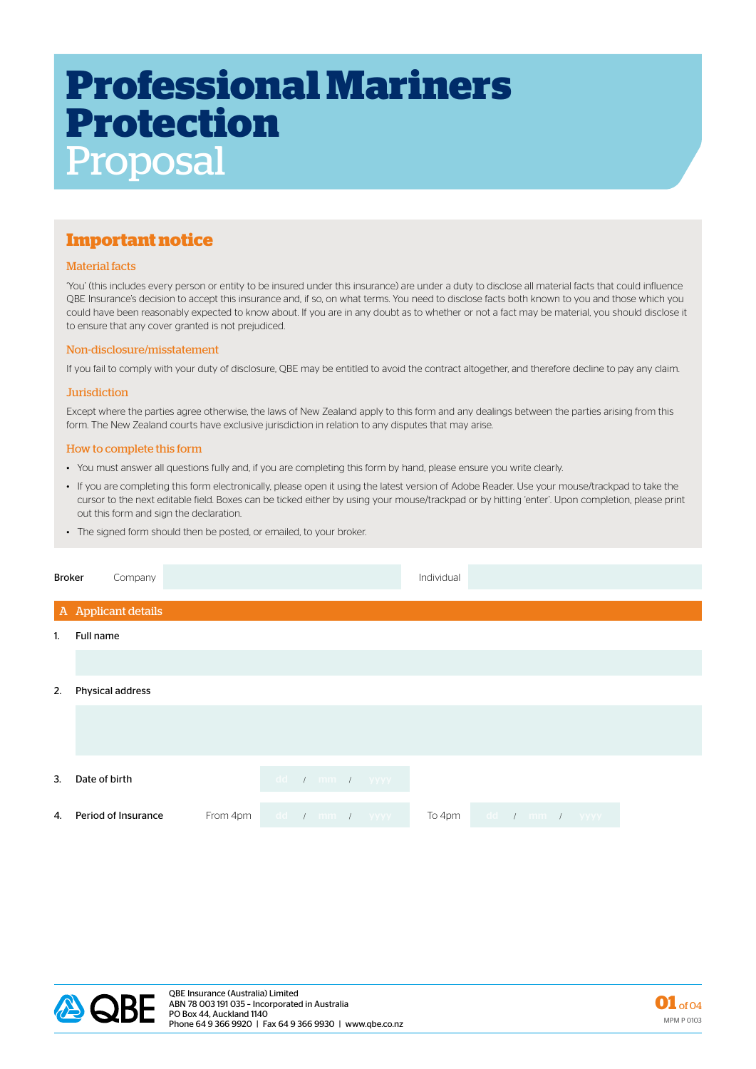# **Professional Mariners Protection** Proposal

# **Important notice**

### Material facts

'You' (this includes every person or entity to be insured under this insurance) are under a duty to disclose all material facts that could influence QBE Insurance's decision to accept this insurance and, if so, on what terms. You need to disclose facts both known to you and those which you could have been reasonably expected to know about. If you are in any doubt as to whether or not a fact may be material, you should disclose it to ensure that any cover granted is not prejudiced.

### Non-disclosure/misstatement

If you fail to comply with your duty of disclosure, QBE may be entitled to avoid the contract altogether, and therefore decline to pay any claim.

#### **Jurisdiction**

Except where the parties agree otherwise, the laws of New Zealand apply to this form and any dealings between the parties arising from this form. The New Zealand courts have exclusive jurisdiction in relation to any disputes that may arise.

#### How to complete this form

- You must answer all questions fully and, if you are completing this form by hand, please ensure you write clearly.
- If you are completing this form electronically, please open it using the latest version of Adobe Reader. Use your mouse/trackpad to take the cursor to the next editable field. Boxes can be ticked either by using your mouse/trackpad or by hitting 'enter'. Upon completion, please print out this form and sign the declaration.
- The signed form should then be posted, or emailed, to your broker.

| <b>Broker</b>  | Company             |          |  |  |                | Individual |                |  |  |
|----------------|---------------------|----------|--|--|----------------|------------|----------------|--|--|
|                | A Applicant details |          |  |  |                |            |                |  |  |
| $\mathbf{1}$ . | Full name           |          |  |  |                |            |                |  |  |
|                |                     |          |  |  |                |            |                |  |  |
| 2.             | Physical address    |          |  |  |                |            |                |  |  |
|                |                     |          |  |  |                |            |                |  |  |
|                |                     |          |  |  |                |            |                |  |  |
| 3.             | Date of birth       |          |  |  | dd / mm / yyyy |            |                |  |  |
|                |                     |          |  |  |                |            |                |  |  |
| 4.             | Period of Insurance | From 4pm |  |  | dd / mm / yyyy | To 4pm     | dd / mm / yyyy |  |  |



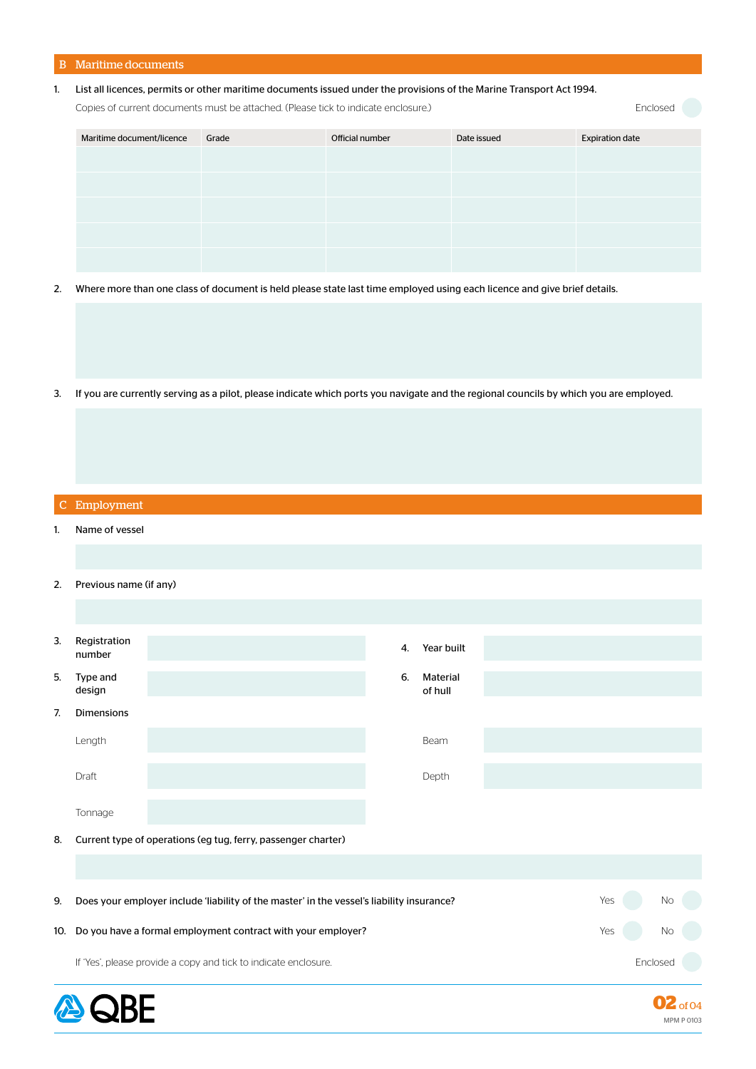# B Maritime documents

## 1. List all licences, permits or other maritime documents issued under the provisions of the Marine Transport Act 1994.

Copies of current documents must be attached. (Please tick to indicate enclosure.)

Enclosed

| Maritime document/licence | Grade | Official number | Date issued | <b>Expiration date</b> |
|---------------------------|-------|-----------------|-------------|------------------------|
|                           |       |                 |             |                        |
|                           |       |                 |             |                        |
|                           |       |                 |             |                        |
|                           |       |                 |             |                        |
|                           |       |                 |             |                        |

- 2. Where more than one class of document is held please state last time employed using each licence and give brief details.
- 3. If you are currently serving as a pilot, please indicate which ports you navigate and the regional councils by which you are employed.

|    | C Employment                                                    |                                                                                           |    |                     |  |     |                            |
|----|-----------------------------------------------------------------|-------------------------------------------------------------------------------------------|----|---------------------|--|-----|----------------------------|
| 1. | Name of vessel                                                  |                                                                                           |    |                     |  |     |                            |
|    |                                                                 |                                                                                           |    |                     |  |     |                            |
| 2. | Previous name (if any)                                          |                                                                                           |    |                     |  |     |                            |
|    |                                                                 |                                                                                           |    |                     |  |     |                            |
| 3. | Registration<br>number                                          |                                                                                           | 4. | Year built          |  |     |                            |
| 5. | Type and<br>design                                              |                                                                                           | 6. | Material<br>of hull |  |     |                            |
| 7. | Dimensions                                                      |                                                                                           |    |                     |  |     |                            |
|    | Length                                                          |                                                                                           |    | Beam                |  |     |                            |
|    | Draft                                                           |                                                                                           |    | Depth               |  |     |                            |
|    | Tonnage                                                         |                                                                                           |    |                     |  |     |                            |
| 8. | Current type of operations (eg tug, ferry, passenger charter)   |                                                                                           |    |                     |  |     |                            |
|    |                                                                 |                                                                                           |    |                     |  |     |                            |
| 9. |                                                                 | Does your employer include 'liability of the master' in the vessel's liability insurance? |    |                     |  | Yes | No                         |
|    |                                                                 | 10. Do you have a formal employment contract with your employer?                          |    |                     |  | Yes | <b>No</b>                  |
|    | If 'Yes', please provide a copy and tick to indicate enclosure. |                                                                                           |    |                     |  |     | Enclosed                   |
|    |                                                                 |                                                                                           |    |                     |  |     | of 04<br><b>MPM P 0103</b> |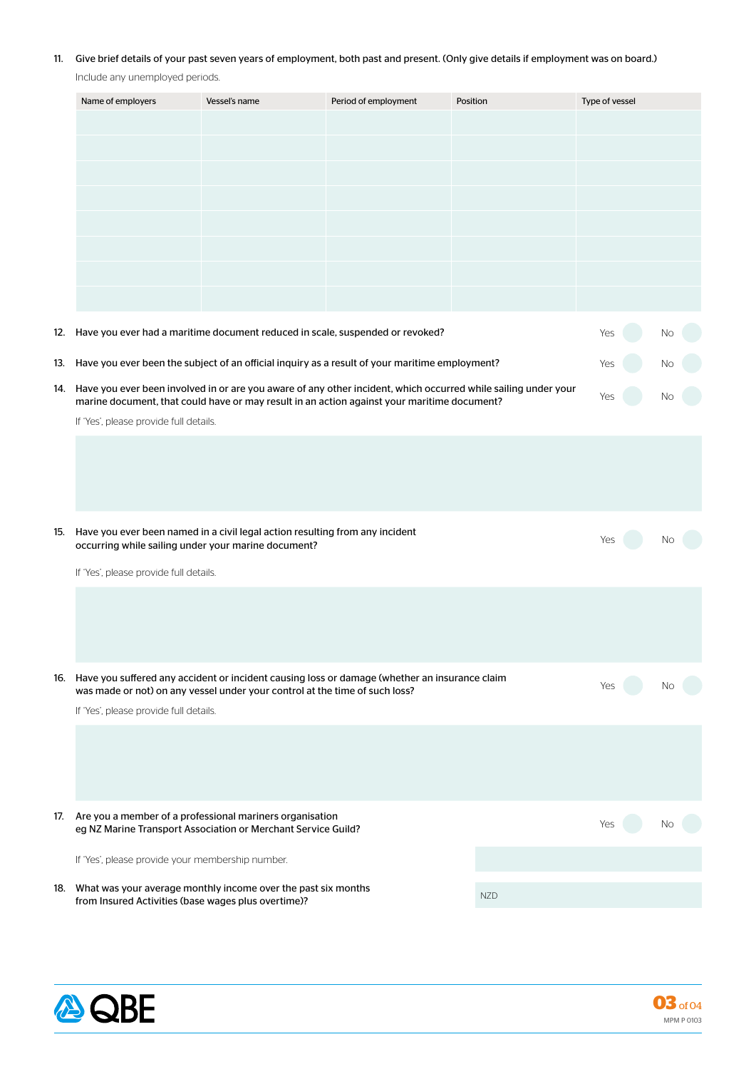# 11. Give brief details of your past seven years of employment, both past and present. (Only give details if employment was on board.)

Include any unemployed periods.

|     | Name of employers                                                                                                                                                                                                 | Period of employment<br>Vessel's name<br>Position                                                                             |    | Type of vessel |     |    |  |
|-----|-------------------------------------------------------------------------------------------------------------------------------------------------------------------------------------------------------------------|-------------------------------------------------------------------------------------------------------------------------------|----|----------------|-----|----|--|
|     |                                                                                                                                                                                                                   |                                                                                                                               |    |                |     |    |  |
|     |                                                                                                                                                                                                                   |                                                                                                                               |    |                |     |    |  |
|     |                                                                                                                                                                                                                   |                                                                                                                               |    |                |     |    |  |
|     |                                                                                                                                                                                                                   |                                                                                                                               |    |                |     |    |  |
|     |                                                                                                                                                                                                                   |                                                                                                                               |    |                |     |    |  |
|     |                                                                                                                                                                                                                   |                                                                                                                               |    |                |     |    |  |
|     |                                                                                                                                                                                                                   |                                                                                                                               |    |                |     |    |  |
|     |                                                                                                                                                                                                                   |                                                                                                                               |    |                |     |    |  |
|     |                                                                                                                                                                                                                   |                                                                                                                               |    |                |     |    |  |
|     | 12. Have you ever had a maritime document reduced in scale, suspended or revoked?                                                                                                                                 |                                                                                                                               |    |                | Yes | Νo |  |
|     | 13. Have you ever been the subject of an official inquiry as a result of your maritime employment?                                                                                                                |                                                                                                                               |    |                |     |    |  |
|     |                                                                                                                                                                                                                   |                                                                                                                               |    |                |     |    |  |
|     | 14. Have you ever been involved in or are you aware of any other incident, which occurred while sailing under your<br>marine document, that could have or may result in an action against your maritime document? |                                                                                                                               |    |                |     |    |  |
|     | If 'Yes', please provide full details.                                                                                                                                                                            |                                                                                                                               |    |                |     |    |  |
|     |                                                                                                                                                                                                                   |                                                                                                                               |    |                |     |    |  |
|     |                                                                                                                                                                                                                   |                                                                                                                               |    |                |     |    |  |
|     |                                                                                                                                                                                                                   |                                                                                                                               |    |                |     |    |  |
|     |                                                                                                                                                                                                                   |                                                                                                                               |    |                |     |    |  |
| 15. | Have you ever been named in a civil legal action resulting from any incident<br>occurring while sailing under your marine document?                                                                               | Yes                                                                                                                           | Νo |                |     |    |  |
|     | If 'Yes', please provide full details.                                                                                                                                                                            |                                                                                                                               |    |                |     |    |  |
|     |                                                                                                                                                                                                                   |                                                                                                                               |    |                |     |    |  |
|     |                                                                                                                                                                                                                   |                                                                                                                               |    |                |     |    |  |
|     |                                                                                                                                                                                                                   |                                                                                                                               |    |                |     |    |  |
|     |                                                                                                                                                                                                                   |                                                                                                                               |    |                |     |    |  |
|     | 16. Have you suffered any accident or incident causing loss or damage (whether an insurance claim<br>was made or not) on any vessel under your control at the time of such loss?                                  |                                                                                                                               |    |                | Yes | Νo |  |
|     | If 'Yes', please provide full details.                                                                                                                                                                            |                                                                                                                               |    |                |     |    |  |
|     |                                                                                                                                                                                                                   |                                                                                                                               |    |                |     |    |  |
|     |                                                                                                                                                                                                                   |                                                                                                                               |    |                |     |    |  |
|     |                                                                                                                                                                                                                   |                                                                                                                               |    |                |     |    |  |
|     |                                                                                                                                                                                                                   |                                                                                                                               |    |                |     |    |  |
|     |                                                                                                                                                                                                                   | 17. Are you a member of a professional mariners organisation<br>eg NZ Marine Transport Association or Merchant Service Guild? |    |                | Yes |    |  |
|     |                                                                                                                                                                                                                   | If 'Yes', please provide your membership number.                                                                              |    |                |     |    |  |
|     |                                                                                                                                                                                                                   |                                                                                                                               |    |                |     |    |  |
|     | 18. What was your average monthly income over the past six months<br>from Insured Activities (base wages plus overtime)?                                                                                          |                                                                                                                               |    | <b>NZD</b>     |     |    |  |
|     |                                                                                                                                                                                                                   |                                                                                                                               |    |                |     |    |  |